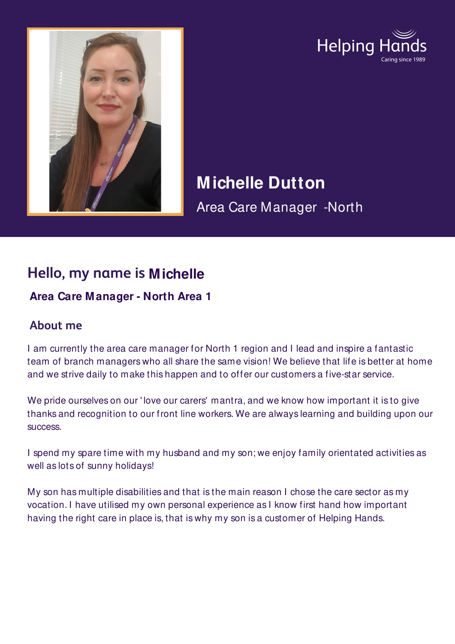



# **Michelle Dutton**

Area Care Manager -North

## **Hello, my name is Michelle**

#### **Area Care Manager - North Area 1**

### **About me**

I am currently the area care manager for North 1 region and I lead and inspire a fantastic team of branch managers who all share the same vision! We believe that life is better at home and we strive daily to make this happen and to offer our customers a five-star service.

We pride ourselves on our 'love our carers' mantra, and we know how important it is to give thanks and recognition to our front line workers. We are always learning and building upon our success.

I spend my spare time with my husband and my son; we enjoy family orientated activities as well as lots of sunny holidays!

My son has multiple disabilities and that is the main reason I chose the care sector as my vocation. I have utilised my own personal experience as I know first hand how important having the right care in place is, that is why my son is a customer of Helping Hands.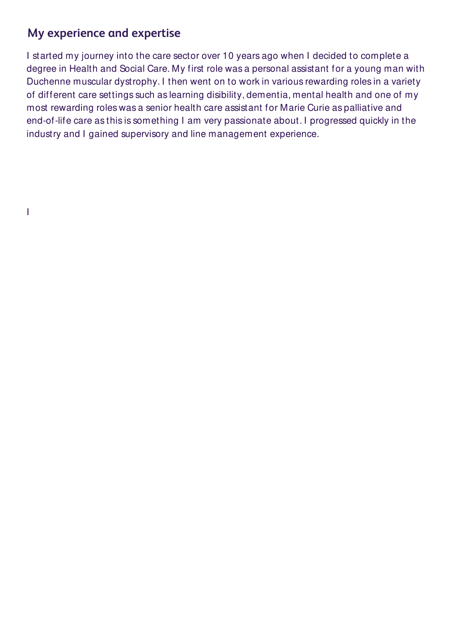#### **My experience and expertise**

I started my journey into the care sector over 10 years ago when I decided to complete a degree in Health and Social Care. My first role was a personal assistant for a young man with Duchenne muscular dystrophy. I then went on to work in various rewarding roles in a variety of different care settings such as learning disibility, dementia, mental health and one of my most rewarding roles was a senior health care assistant for Marie Curie as palliative and end-of-life care as this is something I am very passionate about. I progressed quickly in the industry and I gained supervisory and line management experience.

I